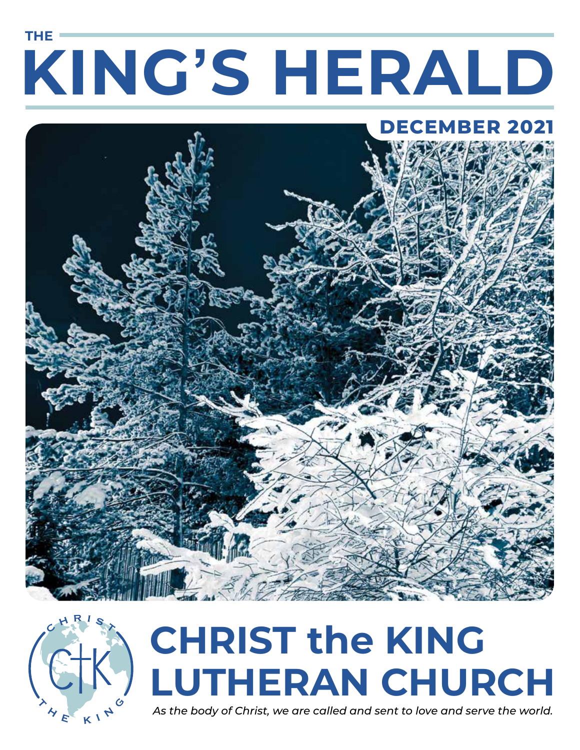# **KING'S HERALD THE**

# **DECEMBER 2021**





# **CHRIST the KING LUTHERAN CHURCH**

*As the body of Christ, we are called and sent to love and serve the world.*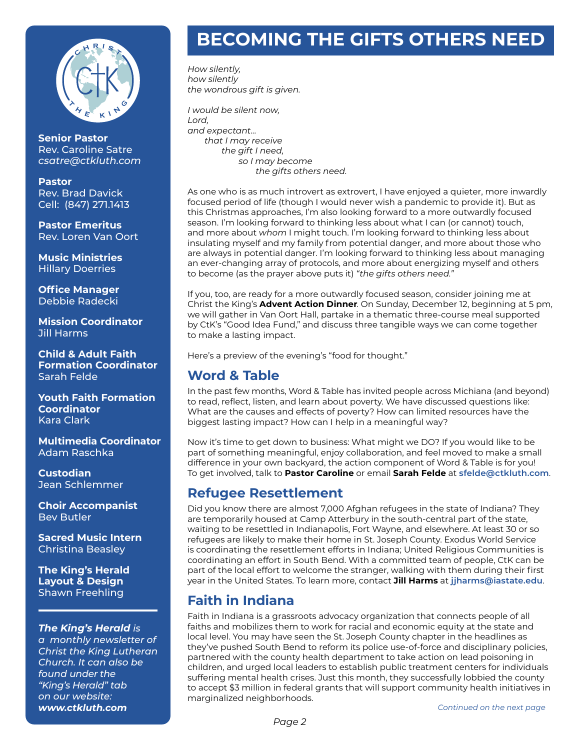

**Senior Pastor**  Rev. Caroline Satre *csatre@ctkluth.com* 

**Pastor**  Rev. Brad Davick Cell: (847) 271.1413

**Pastor Emeritus**  Rev. Loren Van Oort

**Music Ministries**  Hillary Doerries

**Office Manager**  Debbie Radecki

**Mission Coordinator**  Jill Harms

**Child & Adult Faith Formation Coordinator**  Sarah Felde

**Youth Faith Formation Coordinator**  Kara Clark

**Multimedia Coordinator**  Adam Raschka

**Custodian**  Jean Schlemmer

**Choir Accompanist**  Bev Butler

**Sacred Music Intern**  Christina Beasley

**The King's Herald Layout & Design**  Shawn Freehling

#### *The King's Herald is*

*a monthly newsletter of Christ the King Lutheran Church. It can also be found under the "King's Herald" tab on our website: www.ctkluth.com*

# **BECOMING THE GIFTS OTHERS NEED**

*How silently, how silently the wondrous gift is given.*

*I would be silent now, Lord, and expectant… that I may receive the gift I need, so I may become the gifts others need.*

As one who is as much introvert as extrovert, I have enjoyed a quieter, more inwardly focused period of life (though I would never wish a pandemic to provide it). But as this Christmas approaches, I'm also looking forward to a more outwardly focused season. I'm looking forward to thinking less about what I can (or cannot) touch, and more about *whom* I might touch. I'm looking forward to thinking less about insulating myself and my family from potential danger, and more about those who are always in potential danger. I'm looking forward to thinking less about managing an ever-changing array of protocols, and more about energizing myself and others to become (as the prayer above puts it) *"the gifts others need."*

If you, too, are ready for a more outwardly focused season, consider joining me at Christ the King's **Advent Action Dinner**. On Sunday, December 12, beginning at 5 pm, we will gather in Van Oort Hall, partake in a thematic three-course meal supported by CtK's "Good Idea Fund," and discuss three tangible ways we can come together to make a lasting impact.

Here's a preview of the evening's "food for thought."

#### **Word & Table**

In the past few months, Word & Table has invited people across Michiana (and beyond) to read, reflect, listen, and learn about poverty. We have discussed questions like: What are the causes and effects of poverty? How can limited resources have the biggest lasting impact? How can I help in a meaningful way?

Now it's time to get down to business: What might we DO? If you would like to be part of something meaningful, enjoy collaboration, and feel moved to make a small difference in your own backyard, the action component of Word & Table is for you! To get involved, talk to **Pastor Caroline** or email **Sarah Felde** at **sfelde@ctkluth.com**.

#### **Refugee Resettlement**

Did you know there are almost 7,000 Afghan refugees in the state of Indiana? They are temporarily housed at Camp Atterbury in the south-central part of the state, waiting to be resettled in Indianapolis, Fort Wayne, and elsewhere. At least 30 or so refugees are likely to make their home in St. Joseph County. Exodus World Service is coordinating the resettlement efforts in Indiana; United Religious Communities is coordinating an effort in South Bend. With a committed team of people, CtK can be part of the local effort to welcome the stranger, walking with them during their first year in the United States. To learn more, contact **Jill Harms** at **jjharms@iastate.edu**.

#### **Faith in Indiana**

Faith in Indiana is a grassroots advocacy organization that connects people of all faiths and mobilizes them to work for racial and economic equity at the state and local level. You may have seen the St. Joseph County chapter in the headlines as they've pushed South Bend to reform its police use-of-force and disciplinary policies, partnered with the county health department to take action on lead poisoning in children, and urged local leaders to establish public treatment centers for individuals suffering mental health crises. Just this month, they successfully lobbied the county to accept \$3 million in federal grants that will support community health initiatives in marginalized neighborhoods.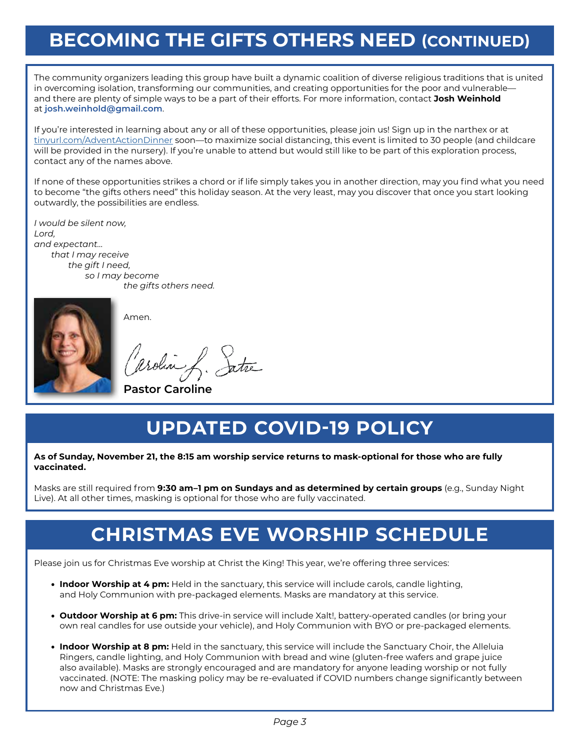# **BECOMING THE GIFTS OTHERS NEED (CONTINUED)**

The community organizers leading this group have built a dynamic coalition of diverse religious traditions that is united in overcoming isolation, transforming our communities, and creating opportunities for the poor and vulnerable and there are plenty of simple ways to be a part of their efforts. For more information, contact **Josh Weinhold** at **josh.weinhold@gmail.com**.

If you're interested in learning about any or all of these opportunities, please join us! Sign up in the narthex or at tinyurl.com/AdventActionDinner soon—to maximize social distancing, this event is limited to 30 people (and childcare will be provided in the nursery). If you're unable to attend but would still like to be part of this exploration process, contact any of the names above.

If none of these opportunities strikes a chord or if life simply takes you in another direction, may you find what you need to become "the gifts others need" this holiday season. At the very least, may you discover that once you start looking outwardly, the possibilities are endless.

*I would be silent now, Lord, and expectant… that I may receive the gift I need, so I may become the gifts others need.*



Amen.

, Satre aroling

 **Pastor Caroline**

# **UPDATED COVID-19 POLICY**

#### **As of Sunday, November 21, the 8:15 am worship service returns to mask-optional for those who are fully vaccinated.**

Masks are still required from **9:30 am–1 pm on Sundays and as determined by certain groups** (e.g., Sunday Night Live). At all other times, masking is optional for those who are fully vaccinated.

# **CHRISTMAS EVE WORSHIP SCHEDULE**

Please join us for Christmas Eve worship at Christ the King! This year, we're offering three services:

- **Indoor Worship at 4 pm:** Held in the sanctuary, this service will include carols, candle lighting, and Holy Communion with pre-packaged elements. Masks are mandatory at this service.
- **Outdoor Worship at 6 pm:** This drive-in service will include Xalt!, battery-operated candles (or bring your own real candles for use outside your vehicle), and Holy Communion with BYO or pre-packaged elements.
- **Indoor Worship at 8 pm:** Held in the sanctuary, this service will include the Sanctuary Choir, the Alleluia Ringers, candle lighting, and Holy Communion with bread and wine (gluten-free wafers and grape juice also available). Masks are strongly encouraged and are mandatory for anyone leading worship or not fully vaccinated. (NOTE: The masking policy may be re-evaluated if COVID numbers change significantly between now and Christmas Eve.)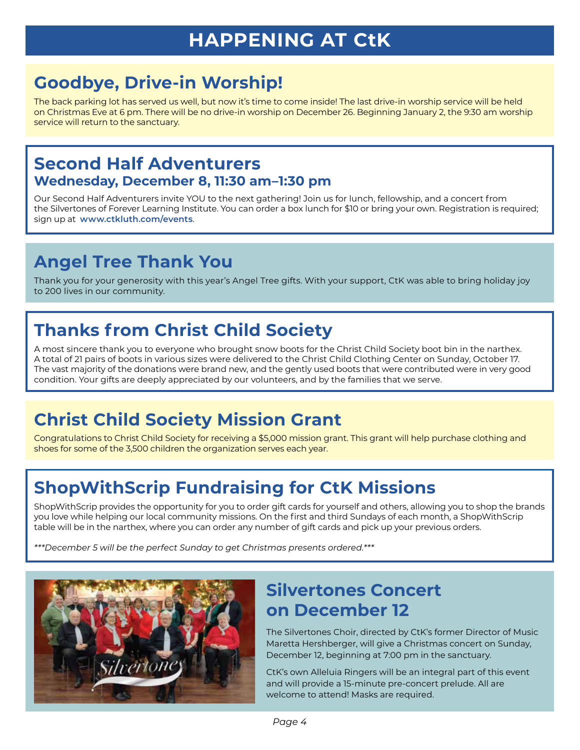# **Goodbye, Drive-in Worship!**

The back parking lot has served us well, but now it's time to come inside! The last drive-in worship service will be held on Christmas Eve at 6 pm. There will be no drive-in worship on December 26. Beginning January 2, the 9:30 am worship service will return to the sanctuary.

#### **Second Half Adventurers Wednesday, December 8, 11:30 am–1:30 pm**

Our Second Half Adventurers invite YOU to the next gathering! Join us for lunch, fellowship, and a concert from the Silvertones of Forever Learning Institute. You can order a box lunch for \$10 or bring your own. Registration is required; sign up at **www.ctkluth.com/events**.

# **Angel Tree Thank You**

Thank you for your generosity with this year's Angel Tree gifts. With your support, CtK was able to bring holiday joy to 200 lives in our community.

# **Thanks from Christ Child Society**

A most sincere thank you to everyone who brought snow boots for the Christ Child Society boot bin in the narthex. A total of 21 pairs of boots in various sizes were delivered to the Christ Child Clothing Center on Sunday, October 17. The vast majority of the donations were brand new, and the gently used boots that were contributed were in very good condition. Your gifts are deeply appreciated by our volunteers, and by the families that we serve.

# **Christ Child Society Mission Grant**

Congratulations to Christ Child Society for receiving a \$5,000 mission grant. This grant will help purchase clothing and shoes for some of the 3,500 children the organization serves each year.

# **ShopWithScrip Fundraising for CtK Missions**

ShopWithScrip provides the opportunity for you to order gift cards for yourself and others, allowing you to shop the brands you love while helping our local community missions. On the first and third Sundays of each month, a ShopWithScrip table will be in the narthex, where you can order any number of gift cards and pick up your previous orders.

*\*\*\*December 5 will be the perfect Sunday to get Christmas presents ordered.\*\*\**



## **Silvertones Concert on December 12**

The Silvertones Choir, directed by CtK's former Director of Music Maretta Hershberger, will give a Christmas concert on Sunday, December 12, beginning at 7:00 pm in the sanctuary.

CtK's own Alleluia Ringers will be an integral part of this event and will provide a 15-minute pre-concert prelude. All are welcome to attend! Masks are required.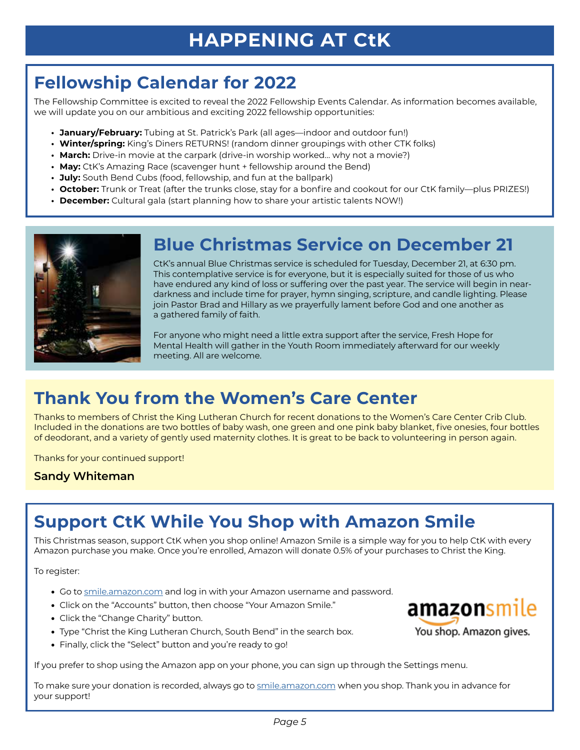# **Fellowship Calendar for 2022**

The Fellowship Committee is excited to reveal the 2022 Fellowship Events Calendar. As information becomes available, we will update you on our ambitious and exciting 2022 fellowship opportunities:

- **• January/February:** Tubing at St. Patrick's Park (all ages—indoor and outdoor fun!)
- **• Winter/spring:** King's Diners RETURNS! (random dinner groupings with other CTK folks)
- **• March:** Drive-in movie at the carpark (drive-in worship worked… why not a movie?)
- **• May:** CtK's Amazing Race (scavenger hunt + fellowship around the Bend)
- **• July:** South Bend Cubs (food, fellowship, and fun at the ballpark)
- **• October:** Trunk or Treat (after the trunks close, stay for a bonfire and cookout for our CtK family—plus PRIZES!)
- **• December:** Cultural gala (start planning how to share your artistic talents NOW!)



#### **Blue Christmas Service on December 21**

CtK's annual Blue Christmas service is scheduled for Tuesday, December 21, at 6:30 pm. This contemplative service is for everyone, but it is especially suited for those of us who have endured any kind of loss or suffering over the past year. The service will begin in neardarkness and include time for prayer, hymn singing, scripture, and candle lighting. Please join Pastor Brad and Hillary as we prayerfully lament before God and one another as a gathered family of faith.

For anyone who might need a little extra support after the service, Fresh Hope for Mental Health will gather in the Youth Room immediately afterward for our weekly meeting. All are welcome.

## **Thank You from the Women's Care Center**

Thanks to members of Christ the King Lutheran Church for recent donations to the Women's Care Center Crib Club. Included in the donations are two bottles of baby wash, one green and one pink baby blanket, five onesies, four bottles of deodorant, and a variety of gently used maternity clothes. It is great to be back to volunteering in person again.

Thanks for your continued support!

**Sandy Whiteman**

## **Support CtK While You Shop with Amazon Smile**

This Christmas season, support CtK when you shop online! Amazon Smile is a simple way for you to help CtK with every Amazon purchase you make. Once you're enrolled, Amazon will donate 0.5% of your purchases to Christ the King.

To register:

- Go to smile.amazon.com and log in with your Amazon username and password.
- Click on the "Accounts" button, then choose "Your Amazon Smile."
- Click the "Change Charity" button.
- Type "Christ the King Lutheran Church, South Bend" in the search box.
- Finally, click the "Select" button and you're ready to go!

If you prefer to shop using the Amazon app on your phone, you can sign up through the Settings menu.

To make sure your donation is recorded, always go to smile.amazon.com when you shop. Thank you in advance for your support!

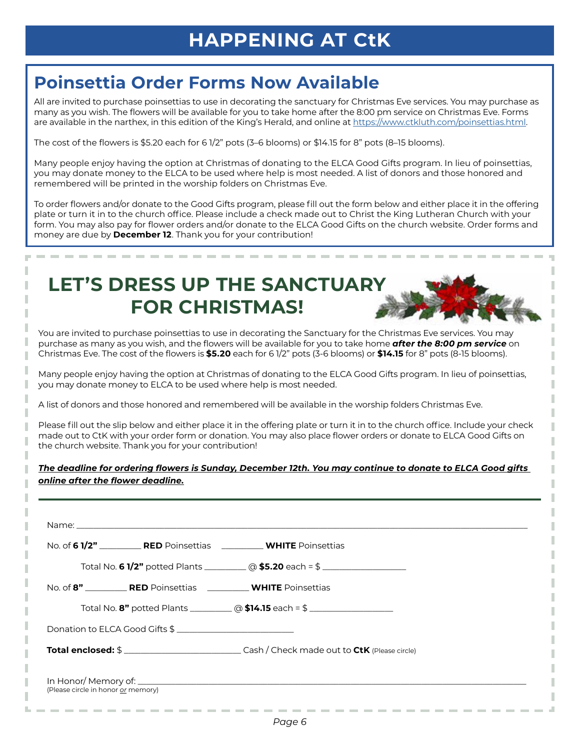#### **Poinsettia Order Forms Now Available**

All are invited to purchase poinsettias to use in decorating the sanctuary for Christmas Eve services. You may purchase as many as you wish. The flowers will be available for you to take home after the 8:00 pm service on Christmas Eve. Forms are available in the narthex, in this edition of the King's Herald, and online at https://www.ctkluth.com/poinsettias.html.

The cost of the flowers is \$5.20 each for 6 1/2" pots (3–6 blooms) or \$14.15 for 8" pots (8–15 blooms).

Many people enjoy having the option at Christmas of donating to the ELCA Good Gifts program. In lieu of poinsettias, you may donate money to the ELCA to be used where help is most needed. A list of donors and those honored and remembered will be printed in the worship folders on Christmas Eve.

To order flowers and/or donate to the Good Gifts program, please fill out the form below and either place it in the offering plate or turn it in to the church office. Please include a check made out to Christ the King Lutheran Church with your form. You may also pay for flower orders and/or donate to the ELCA Good Gifts on the church website. Order forms and money are due by **December 12**. Thank you for your contribution!

# **LET'S DRESS UP THE SANCTUARY FOR CHRISTMAS!**

ı

I

You are invited to purchase poinsettias to use in decorating the Sanctuary for the Christmas Eve services. You may purchase as many as you wish, and the flowers will be available for you to take home *after the 8:00 pm service* on Christmas Eve. The cost of the flowers is **\$5.20** each for 6 1/2" pots (3-6 blooms) or **\$14.15** for 8" pots (8-15 blooms).

Many people enjoy having the option at Christmas of donating to the ELCA Good Gifts program. In lieu of poinsettias, you may donate money to ELCA to be used where help is most needed.

A list of donors and those honored and remembered will be available in the worship folders Christmas Eve.

Please fill out the slip below and either place it in the offering plate or turn it in to the church office. Include your check made out to CtK with your order form or donation. You may also place flower orders or donate to ELCA Good Gifts on the church website. Thank you for your contribution!

#### *The deadline for ordering flowers is Sunday, December 12th. You may continue to donate to ELCA Good gifts online after the flower deadline.*

|                                    |                                | No. of 6 1/2" ____________ RED Poinsettias ______________ WHITE Poinsettias                            |  |
|------------------------------------|--------------------------------|--------------------------------------------------------------------------------------------------------|--|
|                                    |                                | Total No. 6 1/2" potted Plants ___________ @ \$5.20 each = \$ ____________________                     |  |
|                                    |                                | No. of 8" RED Poinsettias WHITE Poinsettias                                                            |  |
|                                    |                                |                                                                                                        |  |
|                                    | Donation to ELCA Good Gifts \$ |                                                                                                        |  |
|                                    |                                | <b>Total enclosed:</b> \$ ________________________________Cash / Check made out to CtK (Please circle) |  |
| (Please circle in honor or memory) |                                |                                                                                                        |  |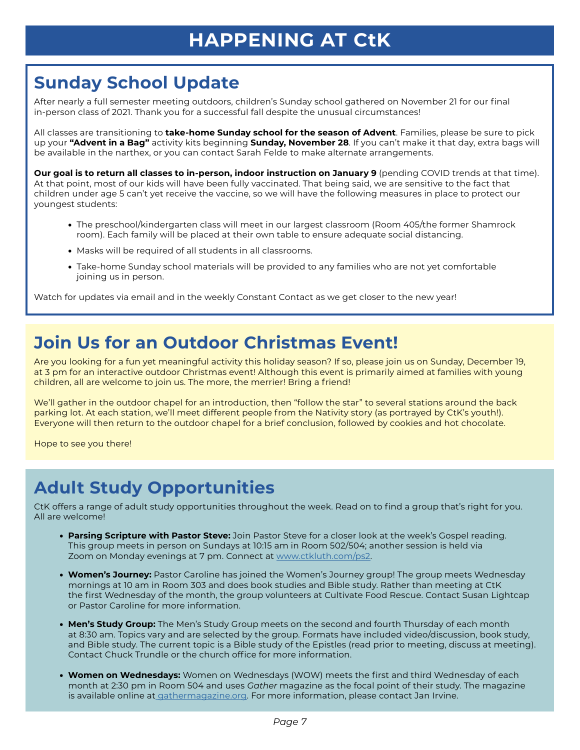# **Sunday School Update**

After nearly a full semester meeting outdoors, children's Sunday school gathered on November 21 for our final in-person class of 2021. Thank you for a successful fall despite the unusual circumstances!

All classes are transitioning to **take-home Sunday school for the season of Advent**. Families, please be sure to pick up your **"Advent in a Bag"** activity kits beginning **Sunday, November 28**. If you can't make it that day, extra bags will be available in the narthex, or you can contact Sarah Felde to make alternate arrangements.

**Our goal is to return all classes to in-person, indoor instruction on January 9** (pending COVID trends at that time). At that point, most of our kids will have been fully vaccinated. That being said, we are sensitive to the fact that children under age 5 can't yet receive the vaccine, so we will have the following measures in place to protect our youngest students:

- The preschool/kindergarten class will meet in our largest classroom (Room 405/the former Shamrock room). Each family will be placed at their own table to ensure adequate social distancing.
- Masks will be required of all students in all classrooms.
- Take-home Sunday school materials will be provided to any families who are not yet comfortable joining us in person.

Watch for updates via email and in the weekly Constant Contact as we get closer to the new year!

#### **Join Us for an Outdoor Christmas Event!**

Are you looking for a fun yet meaningful activity this holiday season? If so, please join us on Sunday, December 19, at 3 pm for an interactive outdoor Christmas event! Although this event is primarily aimed at families with young children, all are welcome to join us. The more, the merrier! Bring a friend!

We'll gather in the outdoor chapel for an introduction, then "follow the star" to several stations around the back parking lot. At each station, we'll meet different people from the Nativity story (as portrayed by CtK's youth!). Everyone will then return to the outdoor chapel for a brief conclusion, followed by cookies and hot chocolate.

Hope to see you there!

## **Adult Study Opportunities**

CtK offers a range of adult study opportunities throughout the week. Read on to find a group that's right for you. All are welcome!

- **Parsing Scripture with Pastor Steve:** Join Pastor Steve for a closer look at the week's Gospel reading. This group meets in person on Sundays at 10:15 am in Room 502/504; another session is held via Zoom on Monday evenings at 7 pm. Connect at www.ctkluth.com/ps2.
- **Women's Journey:** Pastor Caroline has joined the Women's Journey group! The group meets Wednesday mornings at 10 am in Room 303 and does book studies and Bible study. Rather than meeting at CtK the first Wednesday of the month, the group volunteers at Cultivate Food Rescue. Contact Susan Lightcap or Pastor Caroline for more information.
- **Men's Study Group:** The Men's Study Group meets on the second and fourth Thursday of each month at 8:30 am. Topics vary and are selected by the group. Formats have included video/discussion, book study, and Bible study. The current topic is a Bible study of the Epistles (read prior to meeting, discuss at meeting). Contact Chuck Trundle or the church office for more information.
- **Women on Wednesdays:** Women on Wednesdays (WOW) meets the first and third Wednesday of each month at 2:30 pm in Room 504 and uses *Gather* magazine as the focal point of their study. The magazine is available online at *gathermagazine.org*. For more information, please contact Jan Irvine.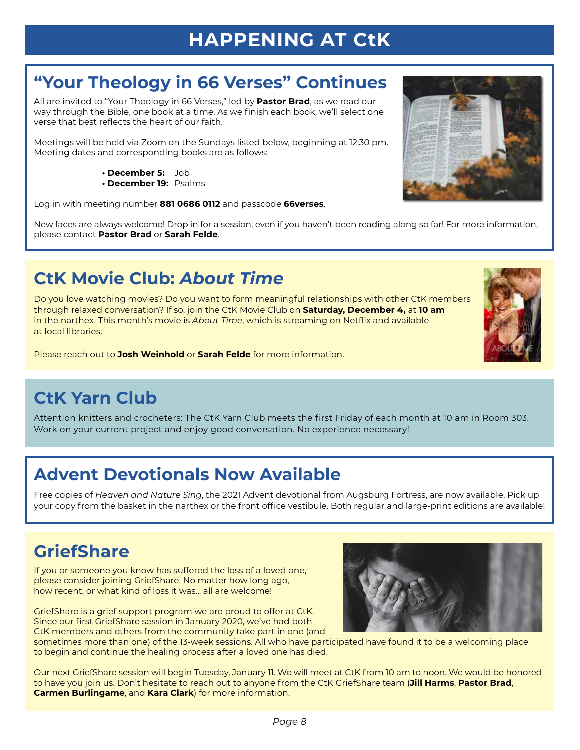# **"Your Theology in 66 Verses" Continues**

All are invited to "Your Theology in 66 Verses," led by **Pastor Brad**, as we read our way through the Bible, one book at a time. As we finish each book, we'll select one verse that best reflects the heart of our faith.

Meetings will be held via Zoom on the Sundays listed below, beginning at 12:30 pm. Meeting dates and corresponding books are as follows:

- **December 5:** Job
- **December 19:** Psalms

Log in with meeting number **881 0686 0112** and passcode **66verses**.

New faces are always welcome! Drop in for a session, even if you haven't been reading along so far! For more information, please contact **Pastor Brad** or **Sarah Felde**.

# **CtK Movie Club:** *About Time*

Do you love watching movies? Do you want to form meaningful relationships with other CtK members through relaxed conversation? If so, join the CtK Movie Club on **Saturday, December 4,** at **10 am** in the narthex. This month's movie is *About Time*, which is streaming on Netflix and available at local libraries.

Please reach out to **Josh Weinhold** or **Sarah Felde** for more information.

# **CtK Yarn Club**

Attention knitters and crocheters: The CtK Yarn Club meets the first Friday of each month at 10 am in Room 303. Work on your current project and enjoy good conversation. No experience necessary!

# **Advent Devotionals Now Available**

Free copies of *Heaven and Nature Sing*, the 2021 Advent devotional from Augsburg Fortress, are now available. Pick up your copy from the basket in the narthex or the front office vestibule. Both regular and large-print editions are available!

# **GriefShare**

If you or someone you know has suffered the loss of a loved one, please consider joining GriefShare. No matter how long ago, how recent, or what kind of loss it was... all are welcome!

GriefShare is a grief support program we are proud to offer at CtK. Since our first GriefShare session in January 2020, we've had both CtK members and others from the community take part in one (and

sometimes more than one) of the 13-week sessions. All who have participated have found it to be a welcoming place to begin and continue the healing process after a loved one has died.

Our next GriefShare session will begin Tuesday, January 11. We will meet at CtK from 10 am to noon. We would be honored to have you join us. Don't hesitate to reach out to anyone from the CtK GriefShare team (**Jill Harms**, **Pastor Brad**, **Carmen Burlingame**, and **Kara Clark**) for more information.





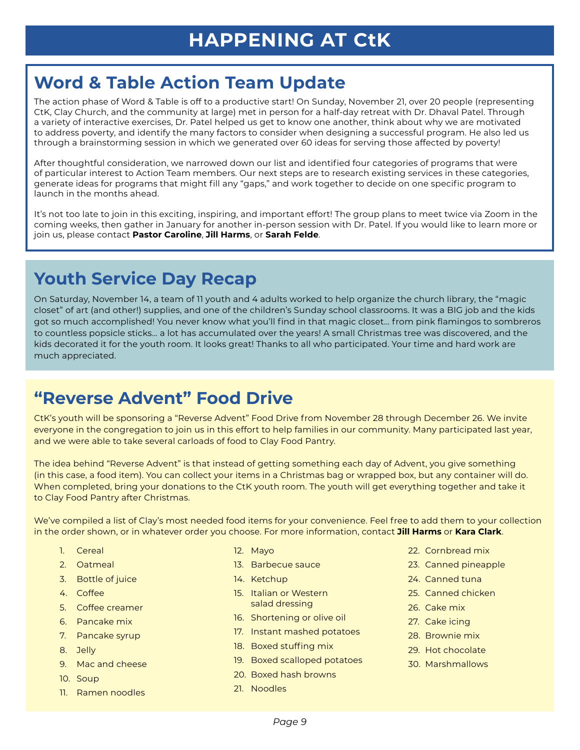## **Word & Table Action Team Update**

The action phase of Word & Table is off to a productive start! On Sunday, November 21, over 20 people (representing CtK, Clay Church, and the community at large) met in person for a half-day retreat with Dr. Dhaval Patel. Through a variety of interactive exercises, Dr. Patel helped us get to know one another, think about why we are motivated to address poverty, and identify the many factors to consider when designing a successful program. He also led us through a brainstorming session in which we generated over 60 ideas for serving those affected by poverty!

After thoughtful consideration, we narrowed down our list and identified four categories of programs that were of particular interest to Action Team members. Our next steps are to research existing services in these categories, generate ideas for programs that might fill any "gaps," and work together to decide on one specific program to launch in the months ahead.

It's not too late to join in this exciting, inspiring, and important effort! The group plans to meet twice via Zoom in the coming weeks, then gather in January for another in-person session with Dr. Patel. If you would like to learn more or join us, please contact **Pastor Caroline**, **Jill Harms**, or **Sarah Felde**.

# **Youth Service Day Recap**

On Saturday, November 14, a team of 11 youth and 4 adults worked to help organize the church library, the "magic closet" of art (and other!) supplies, and one of the children's Sunday school classrooms. It was a BIG job and the kids got so much accomplished! You never know what you'll find in that magic closet... from pink flamingos to sombreros to countless popsicle sticks… a lot has accumulated over the years! A small Christmas tree was discovered, and the kids decorated it for the youth room. It looks great! Thanks to all who participated. Your time and hard work are much appreciated.

## **"Reverse Advent" Food Drive**

CtK's youth will be sponsoring a "Reverse Advent" Food Drive from November 28 through December 26. We invite everyone in the congregation to join us in this effort to help families in our community. Many participated last year, and we were able to take several carloads of food to Clay Food Pantry.

The idea behind "Reverse Advent" is that instead of getting something each day of Advent, you give something (in this case, a food item). You can collect your items in a Christmas bag or wrapped box, but any container will do. When completed, bring your donations to the CtK youth room. The youth will get everything together and take it to Clay Food Pantry after Christmas.

We've compiled a list of Clay's most needed food items for your convenience. Feel free to add them to your collection in the order shown, or in whatever order you choose. For more information, contact **Jill Harms** or **Kara Clark**.

- 1. Cereal
- 2. Oatmeal
- 3. Bottle of juice
- 4. Coffee
- 5. Coffee creamer
- 6. Pancake mix
- 7. Pancake syrup
- 8. Jelly
- 9. Mac and cheese
- 10. Soup
- 11. Ramen noodles
- 12. Mayo
- 13. Barbecue sauce
- 14. Ketchup
- 15. Italian or Western salad dressing
- 16. Shortening or olive oil
- 17. Instant mashed potatoes
- 18. Boxed stuffing mix
- 19. Boxed scalloped potatoes
- 20. Boxed hash browns
- 21. Noodles
- 22. Cornbread mix
- 23. Canned pineapple
- 24. Canned tuna
- 25. Canned chicken
- 26. Cake mix
- 27. Cake icing
- 28. Brownie mix
- 29. Hot chocolate
- 30. Marshmallows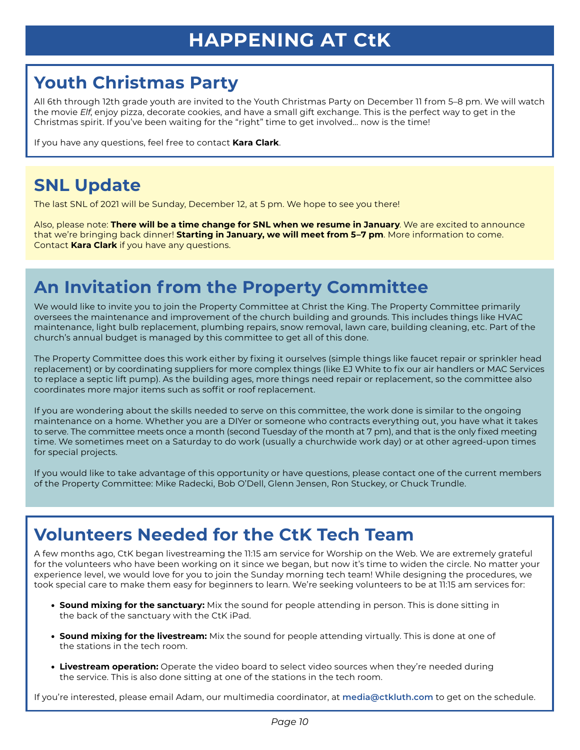## **Youth Christmas Party**

All 6th through 12th grade youth are invited to the Youth Christmas Party on December 11 from 5–8 pm. We will watch the movie *Elf*, enjoy pizza, decorate cookies, and have a small gift exchange. This is the perfect way to get in the Christmas spirit. If you've been waiting for the "right" time to get involved... now is the time!

If you have any questions, feel free to contact **Kara Clark**.

# **SNL Update**

The last SNL of 2021 will be Sunday, December 12, at 5 pm. We hope to see you there!

Also, please note: **There will be a time change for SNL when we resume in January**. We are excited to announce that we're bringing back dinner! **Starting in January, we will meet from 5–7 pm**. More information to come. Contact **Kara Clark** if you have any questions.

# **An Invitation from the Property Committee**

We would like to invite you to join the Property Committee at Christ the King. The Property Committee primarily oversees the maintenance and improvement of the church building and grounds. This includes things like HVAC maintenance, light bulb replacement, plumbing repairs, snow removal, lawn care, building cleaning, etc. Part of the church's annual budget is managed by this committee to get all of this done.

The Property Committee does this work either by fixing it ourselves (simple things like faucet repair or sprinkler head replacement) or by coordinating suppliers for more complex things (like EJ White to fix our air handlers or MAC Services to replace a septic lift pump). As the building ages, more things need repair or replacement, so the committee also coordinates more major items such as soffit or roof replacement.

If you are wondering about the skills needed to serve on this committee, the work done is similar to the ongoing maintenance on a home. Whether you are a DIYer or someone who contracts everything out, you have what it takes to serve. The committee meets once a month (second Tuesday of the month at 7 pm), and that is the only fixed meeting time. We sometimes meet on a Saturday to do work (usually a churchwide work day) or at other agreed-upon times for special projects.

If you would like to take advantage of this opportunity or have questions, please contact one of the current members of the Property Committee: Mike Radecki, Bob O'Dell, Glenn Jensen, Ron Stuckey, or Chuck Trundle.

## **Volunteers Needed for the CtK Tech Team**

A few months ago, CtK began livestreaming the 11:15 am service for Worship on the Web. We are extremely grateful for the volunteers who have been working on it since we began, but now it's time to widen the circle. No matter your experience level, we would love for you to join the Sunday morning tech team! While designing the procedures, we took special care to make them easy for beginners to learn. We're seeking volunteers to be at 11:15 am services for:

- **Sound mixing for the sanctuary:** Mix the sound for people attending in person. This is done sitting in the back of the sanctuary with the CtK iPad.
- **Sound mixing for the livestream:** Mix the sound for people attending virtually. This is done at one of the stations in the tech room.
- **Livestream operation:** Operate the video board to select video sources when they're needed during the service. This is also done sitting at one of the stations in the tech room.

If you're interested, please email Adam, our multimedia coordinator, at **media@ctkluth.com** to get on the schedule.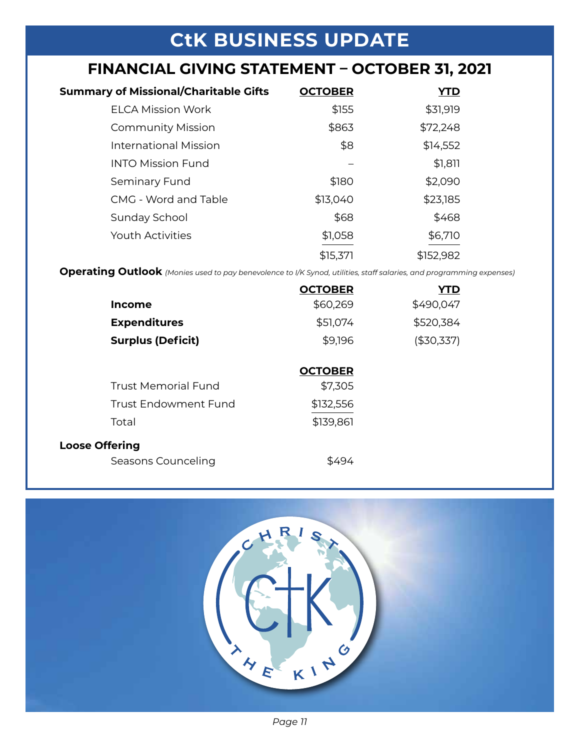# **CtK BUSINESS UPDATE**

# **FINANCIAL GIVING STATEMENT – OCTOBER 31, 2021**

| <b>Summary of Missional/Charitable Gifts</b> | <b>OCTOBER</b> | YTD       |
|----------------------------------------------|----------------|-----------|
| <b>ELCA Mission Work</b>                     | \$155          | \$31,919  |
| <b>Community Mission</b>                     | \$863          | \$72,248  |
| <b>International Mission</b>                 | \$8            | \$14,552  |
| <b>INTO Mission Fund</b>                     |                | \$1,811   |
| Seminary Fund                                | \$180          | \$2,090   |
| CMG - Word and Table                         | \$13,040       | \$23,185  |
| Sunday School                                | \$68           | \$468     |
| <b>Youth Activities</b>                      | \$1,058        | \$6,710   |
|                                              | \$15,371       | \$152,982 |

**Operating Outlook** *(Monies used to pay benevolence to I/K Synod, utilities, staff salaries, and programming expenses)*

|                             | <b>OCTOBER</b> | YTD        |
|-----------------------------|----------------|------------|
| <b>Income</b>               | \$60,269       | \$490,047  |
| <b>Expenditures</b>         | \$51,074       | \$520,384  |
| <b>Surplus (Deficit)</b>    | \$9,196        | (\$30,337) |
|                             |                |            |
|                             | <b>OCTOBER</b> |            |
| <b>Trust Memorial Fund</b>  | \$7,305        |            |
| <b>Trust Endowment Fund</b> | \$132,556      |            |
| Total                       | \$139,861      |            |
| <b>Loose Offering</b>       |                |            |
| Seasons Counceling          | \$494          |            |



*Page 11*